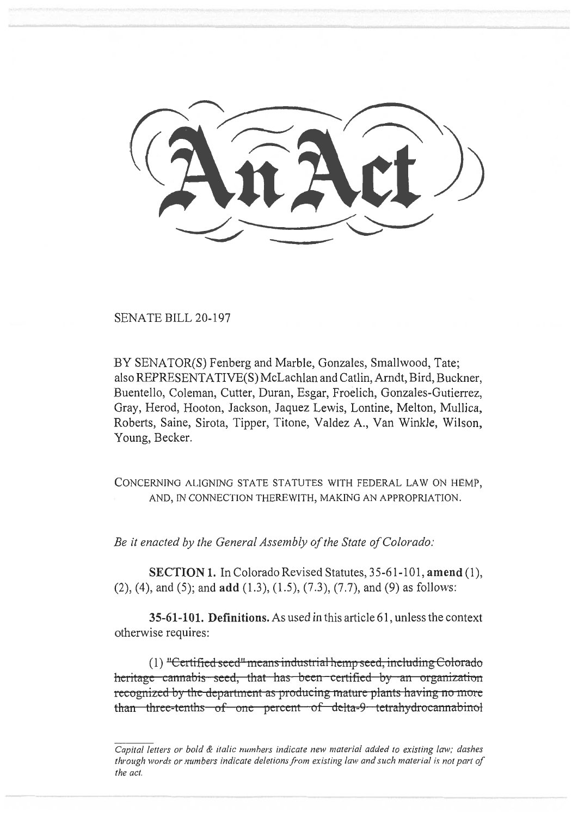SENATE BILL 20-197

BY SENATOR(S) Fenberg and Marble, Gonzales, Smallwood, Tate; also REPRESENTATIVE(S) McLachlan and Catlin, Arndt, Bird, Buckner, Buentello, Coleman, Cutter, Duran, Esgar, Froelich, Gonzales-Gutierrez, Gray, Herod, Hooton, Jackson, Jaquez Lewis, Lontine, Melton, Mullica, Roberts, Saine, Sirota, Tipper, Titone, Valdez A., Van Winkle, Wilson, Young, Becker.

CONCERNING ALIGNING STATE STATUTES WITH FEDERAL LAW ON HEMP, AND, IN CONNECTION **THEREWITH, MAKING AN APPROPRIATION.** 

*Be it enacted by the General Assembly of the State of Colorado:* 

**SECTION 1.** In Colorado Revised Statutes, 35-61-101, **amend** (1), (2), (4), and (5); and **add** (1.3), (1.5), (7.3), (7.7), and (9) as follows:

**35-61-101. Definitions.** As used in this article 61, unless the context otherwise requires:

 $(1)$  "Certified seed" means industrial hemp seed, including Colorado heritage cannabis seed, that has been certified by an organization recognized by the department as producing mature plants having no more than three-tenths of one percent of delta-9 tetrahydrocannabinol

*Capital letters or bold & italic numbers indicate new material added to existing law; dashes through words or numbers indicate deletions from existing law and such material is not part of the act.*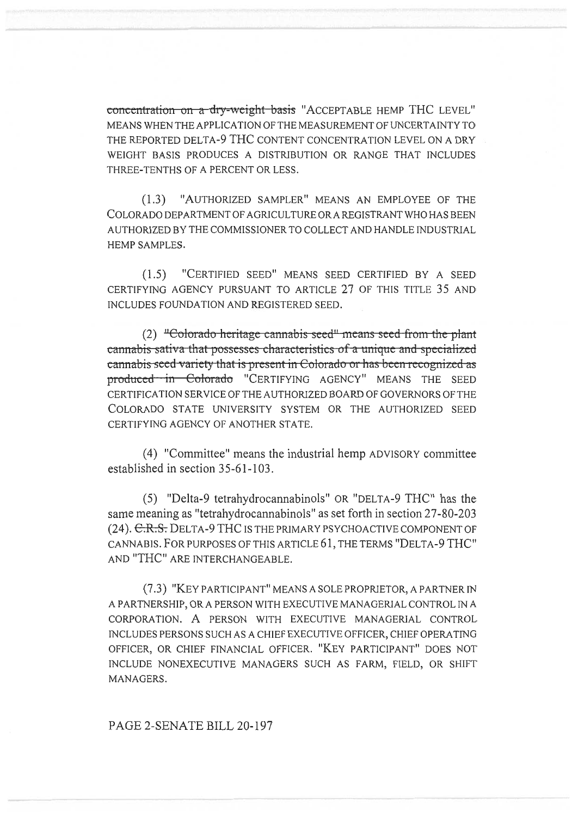concentration on a dry-weight basis "ACCEPTABLE HEMP THC LEVEL" MEANS WHEN THE APPLICATION OF THE MEASUREMENT OF UNCERTAINTY TO THE REPORTED DELTA-9 THC CONTENT CONCENTRATION LEVEL ON A DRY WEIGHT BASIS PRODUCES A DISTRIBUTION OR RANGE THAT INCLUDES THREE-TENTHS OF A PERCENT OR LESS.

(1.3) "AUTHORIZED SAMPLER" MEANS AN EMPLOYEE OF THE COLORADO DEPARTMENT OF AGRICULTURE OR A REGISTRANT WHO HAS BEEN AUTHORIZED BY THE COMMISSIONER TO COLLECT AND HANDLE INDUSTRIAL HEMP SAMPLES.

(1.5) "CERTIFIED SEED" MEANS SEED CERTIFIED BY A SEED CERTIFYING AGENCY PURSUANT TO ARTICLE 27 OF THIS TITLE 35 AND INCLUDES FOUNDATION AND REGISTERED SEED.

(2) "Colorado heritage cannabis seed" means seed from the plant cannabis sativa that possesses characteristics of a unique and specialized cannabis seed variety that is present in Colorado or has been recognized as produced in Colorado "CERTIFYING AGENCY" MEANS THE SEED CERTIFICATION SERVICE OF THE AUTHORIZED BOARD OF GOVERNORS OF THE COLORADO STATE UNIVERSITY SYSTEM OR THE AUTHORIZED SEED CERTIFYING AGENCY OF ANOTHER STATE.

(4) "Committee" means the industrial hemp ADVISORY committee established in section 35-61-103.

(5) "Delta-9 tetrahydrocannabinols" OR "DELTA-9 THC" has the same meaning as "tetrahydrocannabinols" as set forth in section 27-80-203 (24). E.R.S. DELTA-9 THC IS THE PRIMARY PSYCHOACTIVE COMPONENT OF CANNABIS. FOR PURPOSES OF THIS ARTICLE 61, THE TERMS "DELTA-9 THC" AND "THC" ARE INTERCHANGEABLE.

(7.3) "KEY PARTICIPANT" MEANS A SOLE PROPRIETOR, A PARTNER IN A PARTNERSHIP, OR A PERSON WITH EXECUTIVE MANAGERIAL CONTROL IN A CORPORATION. A PERSON WITH EXECUTIVE MANAGERIAL CONTROL INCLUDES PERSONS SUCH AS A CHIEF EXECUTIVE OFFICER, CHIEF OPERATING OFFICER, OR CHIEF FINANCIAL OFFICER. "KEY PARTICIPANT" DOES NOT INCLUDE NONEXECUTIVE MANAGERS SUCH AS FARM, FIELD, OR SHIFT MANAGERS.

PAGE 2-SENATE BILL 20-197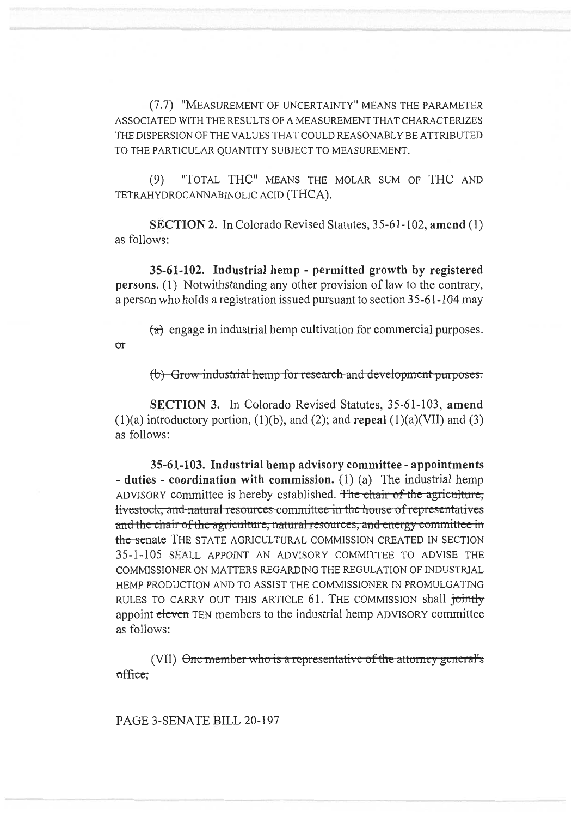(7.7) "MEASUREMENT OF UNCERTAINTY" MEANS THE PARAMETER ASSOCIATED WITH THE RESULTS OF A MEASUREMENT THAT CHARACTERIZES THE DISPERSION OF THE VALUES THAT COULD REASONABLY BE ATTRIBUTED TO THE PARTICULAR QUANTITY SUBJECT TO MEASUREMENT.

 $(9)$ "TOTAL THC" MEANS THE MOLAR SUM OF THC AND TETRAHYDROCANNABINOLIC ACID (THCA).

**SECTION 2.** In Colorado Revised Statutes, 35-61-102, amend (1) as follows:

35-61-102. Industrial hemp - permitted growth by registered persons. (1) Notwithstanding any other provision of law to the contrary, a person who holds a registration issued pursuant to section 35-61-104 may

 $(a)$  engage in industrial hemp cultivation for commercial purposes.

(b) Grow industrial hemp for research and development purposes.

**SECTION 3.** In Colorado Revised Statutes, 35-61-103, amend  $(1)(a)$  introductory portion,  $(1)(b)$ , and  $(2)$ ; and repeal  $(1)(a)(VII)$  and  $(3)$ as follows:

35-61-103. Industrial hemp advisory committee - appointments - duties - coordination with commission.  $(1)$  (a) The industrial hemp ADVISORY committee is hereby established. The chair of the agriculture, livestock, and natural resources committee in the house of representatives and the chair of the agriculture, natural resources, and energy committee in the senate THE STATE AGRICULTURAL COMMISSION CREATED IN SECTION 35-1-105 SHALL APPOINT AN ADVISORY COMMITTEE TO ADVISE THE COMMISSIONER ON MATTERS REGARDING THE REGULATION OF INDUSTRIAL HEMP PRODUCTION AND TO ASSIST THE COMMISSIONER IN PROMULGATING RULES TO CARRY OUT THIS ARTICLE 61. THE COMMISSION shall jointly appoint eleven TEN members to the industrial hemp ADVISORY committee as follows:

(VII) <del>One member who is a representative of the attorney general's</del> office;

PAGE 3-SENATE BILL 20-197

 $\sigma$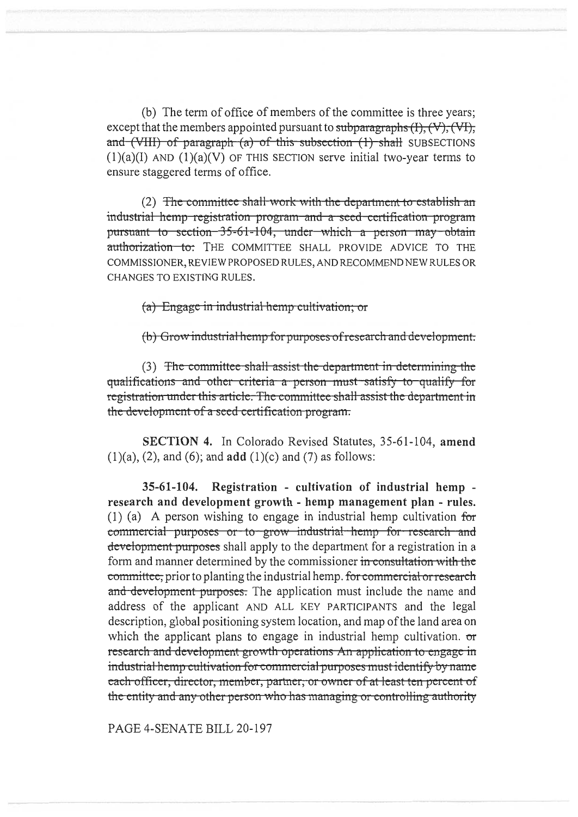(b) The term of office of members of the committee is three years; except that the members appointed pursuant to subparagraphs  $(I), (V), (V)$ and  $(VIII)$  of paragraph  $(a)$  of this subsection  $(1)$  shall SUBSECTIONS  $(1)(a)(I)$  AND  $(1)(a)(V)$  OF THIS SECTION serve initial two-year terms to ensure staggered terms of office.

(2) The committee shall work with the department to establish an industrial hemp registration program and a seed certification program pursuant to section 35-61-104, under which a person may obtain authorization to: THE COMMITTEE SHALL PROVIDE ADVICE TO THE COMMISSIONER, REVIEW PROPOSED RULES, AND RECOMMEND NEW RULES OR CHANGES TO EXISTING RULES.

(a) Engage in industrial hemp cultivation; or

(b) Grow industrial hemp for purposes of research and development.

(3) The committee shall assist the department in determining the qualifications and other criteria a person must satisfy to qualify for registration under this article. The committee shall assist the department in the development of a seed certification program.

SECTION 4. In Colorado Revised Statutes, 35-61-104, amend  $(1)(a)$ ,  $(2)$ , and  $(6)$ ; and **add**  $(1)(c)$  and  $(7)$  as follows:

35-61-104. Registration - cultivation of industrial hemp research and development growth - hemp management plan - rules. (1) (a) A person wishing to engage in industrial hemp cultivation for commercial purposes or to grow industrial hemp for research and development purposes shall apply to the department for a registration in a form and manner determined by the commissioner in consultation with the committee, prior to planting the industrial hemp. for commercial or research and development purposes. The application must include the name and address of the applicant AND ALL KEY PARTICIPANTS and the legal description, global positioning system location, and map of the land area on which the applicant plans to engage in industrial hemp cultivation.  $\sigma$ research and development growth operations An application to engage in industrial hemp cultivation for commercial purposes must identify by name each officer, director, member, partner, or owner of at least ten percent of the entity and any other person who has managing or controlling authority

PAGE 4-SENATE BILL 20-197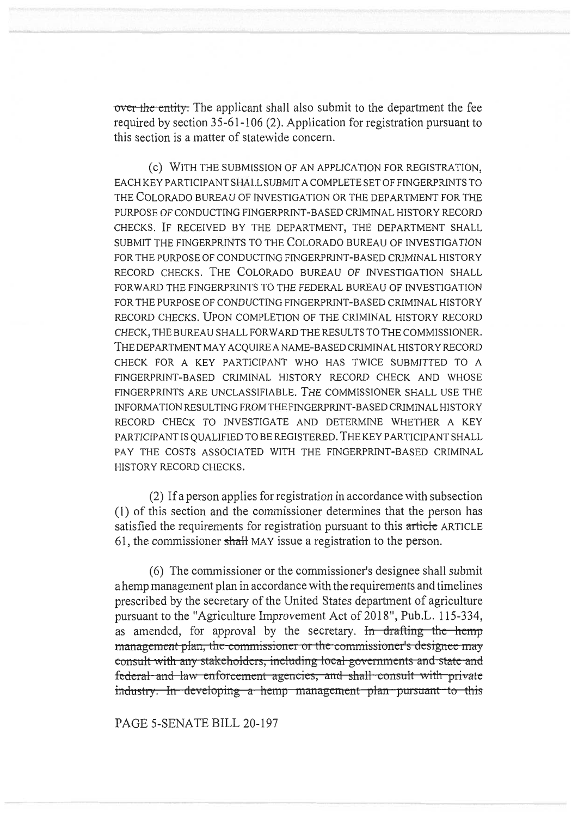over the entity. The applicant shall also submit to the department the fee required by section 35-61-106 (2). Application for registration pursuant to this section is a matter of statewide concern.

(C) WITH THE SUBMISSION OF AN APPLICATION FOR REGISTRATION, EACH KEY PARTICIPANT SHALL SUBMIT A COMPLETE SET OF FINGERPRINTS TO THE COLORADO BUREAU OF INVESTIGATION OR THE DEPARTMENT FOR THE PURPOSE OF CONDUCTING FINGERPRINT-BASED CRIMINAL HISTORY RECORD CHECKS. IF RECEIVED BY THE DEPARTMENT, THE DEPARTMENT SHALL SUBMIT THE FINGERPRINTS TO THE COLORADO BUREAU OF INVESTIGATION FOR THE PURPOSE OF CONDUCTING FINGERPRINT-BASED CRIMINAL HISTORY RECORD CHECKS. THE COLORADO BUREAU OF INVESTIGATION SHALL FORWARD THE FINGERPRINTS TO THE FEDERAL BUREAU OF INVESTIGATION FOR THE PURPOSE OF CONDUCTING FINGERPRINT-BASED CRIMINAL HISTORY RECORD CHECKS. UPON COMPLETION OF THE CRIMINAL HISTORY RECORD CHECK, THE BUREAU SHALL FORWARD THE RESULTS TO THE COMMISSIONER. THE DEPARTMENT MAY ACQUIRE A NAME-BASED CRIMINAL HISTORY RECORD CHECK FOR A KEY PARTICIPANT WHO HAS TWICE SUBMITTED TO A FINGERPRINT-BASED CRIMINAL HISTORY RECORD CHECK AND WHOSE FINGERPRINTS ARE UNCLASSIFIABLE. THE COMMISSIONER SHALL USE THE INFORMATION RESULTING FROM THE FINGERPRINT-BASED CRIMINAL HISTORY RECORD CHECK TO INVESTIGATE AND DETERMINE WHETHER A KEY PARTICIPANT IS QUALIFIED TO BE REGISTERED. THE KEY PARTICIPANT SHALL PAY THE COSTS ASSOCIATED WITH THE FINGERPRINT-BASED CRIMINAL HISTORY RECORD CHECKS.

(2) If a person applies for registration in accordance with subsection (1) of this section and the commissioner determines that the person has satisfied the requirements for registration pursuant to this article ARTICLE 61, the commissioner shall MAY issue a registration to the person.

(6) The commissioner or the commissioner's designee shall submit a hemp management plan in accordance with the requirements and timelines prescribed by the secretary of the United States department of agriculture pursuant to the "Agriculture Improvement Act of 2018", Pub.L. 115-334, as amended, for approval by the secretary. In drafting the hemp management plan, the commissioner or the commissioner's designee may consult-with-any stakeholders, including local governments and state-and federal and law enforcement agencies, and shall consult with private industry. In developing a hemp management plan pursuant to this

PAGE 5-SENATE BILL 20-197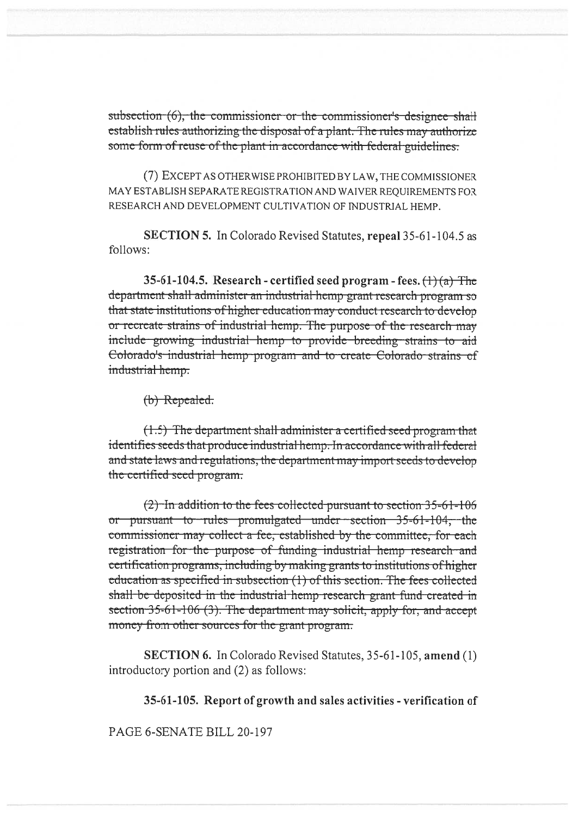subsection (6), the commissioner or the commissioner's designee shall establish rules authorizing the disposal of a plant. The rules may authorize some form of reuse of the plant in accordance with federal guidelines.

(7) EXCEPT AS OTHER WISE PROHIBITED BY LAW, THE COMMISSIONER MAY ESTABLISH SEPARATE REGISTRATION AND WAIVER REOUIREMENTS FOR RESEARCH AND DEVELOPMENT CULTIVATION OF INDUSTRIAL HEMP.

**SECTION 5.** In Colorado Revised Statutes, repeal 35-61-104.5 as follows:

35-61-104.5. Research - certified seed program - fees.  $(1)(a)$  The department shall administer an industrial hemp grant research program so that state institutions of higher education may conduct research to develop or recreate strains of industrial hemp. The purpose of the research may include growing industrial hemp to provide breeding strains to aid Colorado's industrial hemp program and to create Colorado strains of industrial hemp.

(b) Repealed.

(1.5) The department shall administer a certified seed program that identifies seeds that produce industrial hemp. In accordance with all federal and state laws and regulations, the department may import seeds to develop the certified seed program.

 $(2)$  In addition to the fees collected pursuant to section 35-61-106 or pursuant to rules promulgated under section 35-61-104, the commissioner may collect a fee, established by the committee, for each registration for the purpose of funding industrial hemp research and certification programs, including by making grants to institutions of higher education as specified in subsection (1) of this section. The fees collected shall be deposited in the industrial hemp research grant fund created in section 35-61-106 (3). The department may solicit, apply for, and accept money from other sources for the grant program.

**SECTION 6.** In Colorado Revised Statutes, 35-61-105, amend (1) introductory portion and (2) as follows:

35-61-105. Report of growth and sales activities - verification of

PAGE 6-SENATE BILL 20-197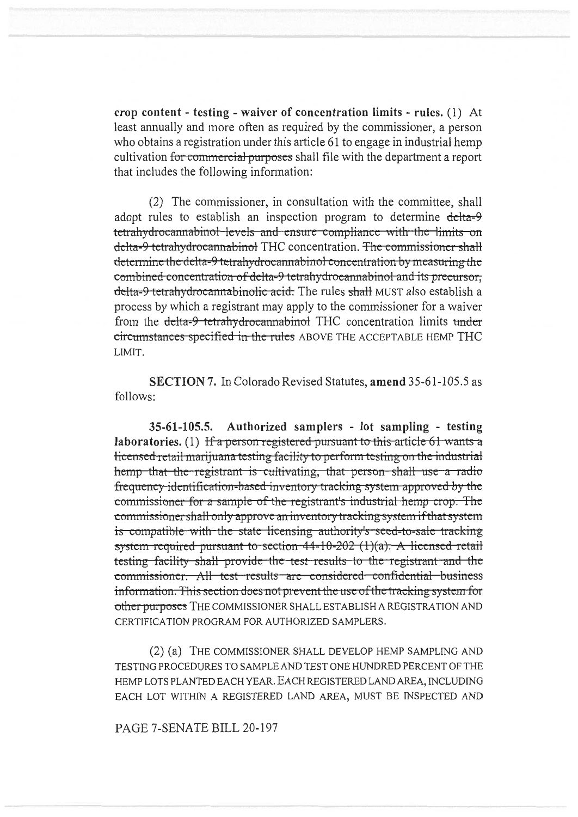crop content - testing - waiver of concentration limits - rules. (1) At least annually and more often as required by the commissioner, a person who obtains a registration under this article 61 to engage in industrial hemp cultivation for commercial purposes shall file with the department a report that includes the following information:

(2) The commissioner, in consultation with the committee, shall adopt rules to establish an inspection program to determine delta-9 tetrahydrocannabinol levels and ensure compliance with the limits on delta-9 tetrahydrocannabinol THC concentration. The commissioner shall determine the delta-9 tetrahydrocannabinol concentration by measuring the combined concentration of delta-9 tetrahydrocannabinol and its precursor, delta-9 tetrahydrocannabinolic acid. The rules shall MUST also establish a process by which a registrant may apply to the commissioner for a waiver from the delta-9 tetrahydrocannabinol THC concentration limits under circumstances specified in the rules ABOVE THE ACCEPTABLE HEMP THC LIMIT.

SECTION 7. In Colorado Revised Statutes, amend 35-61-105.5 as follows:

Authorized samplers - lot sampling - testing  $35 - 61 - 105.5$ . laboratories. (1) If a person registered pursuant to this article 61 wants a Hicensed retail marijuana testing facility to perform testing on the industrial hemp that the registrant is cultivating, that person shall use a radio frequency identification-based inventory tracking system approved by the commissioner for a sample of the registrant's industrial hemp crop. The commissioner shall only approve an inventory tracking system if that system is compatible with the state licensing authority's seed-to-sale tracking system required pursuant to section  $44-10-202$  (1)(a). A licensed retail testing facility shall provide the test results to the registrant and the commissioner. All test results are considered confidential business information. This section does not prevent the use of the tracking system for other purposes THE COMMISSIONER SHALL ESTABLISH A REGISTRATION AND CERTIFICATION PROGRAM FOR AUTHORIZED SAMPLERS.

(2) (a) THE COMMISSIONER SHALL DEVELOP HEMP SAMPLING AND TESTING PROCEDURES TO SAMPLE AND TEST ONE HUNDRED PERCENT OF THE HEMP LOTS PLANTED EACH YEAR. EACH REGISTERED LAND AREA, INCLUDING EACH LOT WITHIN A REGISTERED LAND AREA, MUST BE INSPECTED AND

PAGE 7-SENATE BILL 20-197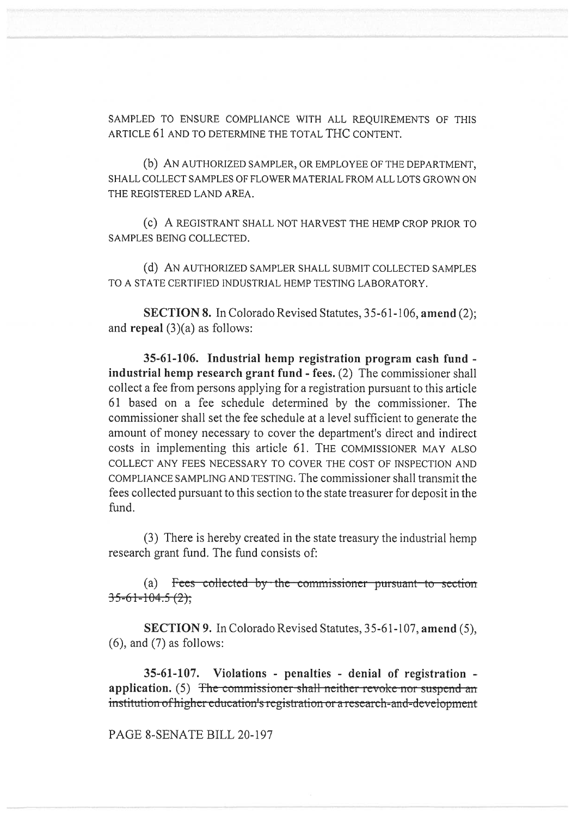SAMPLED TO ENSURE COMPLIANCE WITH ALL REQUIREMENTS OF THIS ARTICLE 61 AND TO DETERMINE THE TOTAL THC CONTENT.

(b) AN AUTHORIZED SAMPLER, OR EMPLOYEE OF THE DEPARTMENT, SHALL COLLECT SAMPLES OF FLOWER MATERIAL FROM ALL LOTS GROWN ON THE REGISTERED LAND AREA.

(c) A REGISTRANT SHALL NOT HARVEST THE HEMP CROP PRIOR TO SAMPLES BEING COLLECTED.

(d) AN AUTHORIZED SAMPLER SHALL SUBMIT COLLECTED SAMPLES TO A STATE CERTIFIED INDUSTRIAL HEMP TESTING LABORATORY.

**SECTION 8.** In Colorado Revised Statutes, 35-61-106, amend (2); and repeal  $(3)(a)$  as follows:

35-61-106. Industrial hemp registration program cash fund industrial hemp research grant fund - fees. (2) The commissioner shall collect a fee from persons applying for a registration pursuant to this article 61 based on a fee schedule determined by the commissioner. The commissioner shall set the fee schedule at a level sufficient to generate the amount of money necessary to cover the department's direct and indirect costs in implementing this article 61. THE COMMISSIONER MAY ALSO COLLECT ANY FEES NECESSARY TO COVER THE COST OF INSPECTION AND COMPLIANCE SAMPLING AND TESTING. The commissioner shall transmit the fees collected pursuant to this section to the state treasurer for deposit in the fund.

(3) There is hereby created in the state treasury the industrial hemp research grant fund. The fund consists of:

(a) Frees collected by the commissioner pursuant to section  $35-61-104.5(2);$ 

SECTION 9. In Colorado Revised Statutes, 35-61-107, amend (5),  $(6)$ , and  $(7)$  as follows:

35-61-107. Violations - penalties - denial of registration application. (5) The commissioner shall neither revoke nor suspend an institution of higher education's registration or a research-and-development

PAGE 8-SENATE BILL 20-197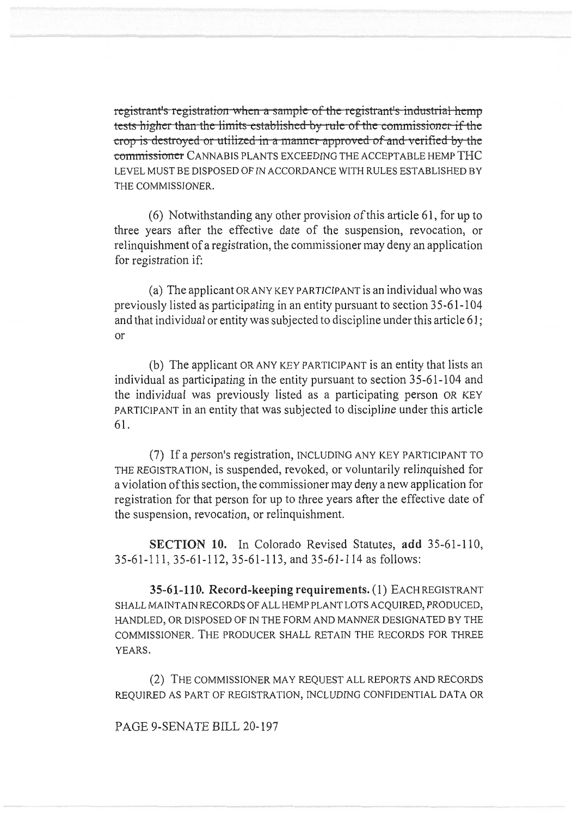registrant's registration when a sample of the registrant's industrial hemp tests higher than the limits established by rule of the commissioner if the erop is destroyed or utilized in a manner approved of and verified by the commissioner CANNABIS PLANTS EXCEEDING THE ACCEPTABLE HEMP THC LEVEL MUST BE DISPOSED OF IN ACCORDANCE WITH RULES ESTABLISHED BY THE COMMISSIONER.

(6) Notwithstanding any other provision of this article 61, for up to three years after the effective date of the suspension, revocation, or relinquishment of a registration, the commissioner may deny an application for registration if:

(a) The applicant OR ANY KEY PARTICIPANT is an individual who was previously listed as participating in an entity pursuant to section 35-61-104 and that individual or entity was subjected to discipline under this article 61; or

(b) The applicant OR ANY KEY PARTICIPANT is an entity that lists an individual as participating in the entity pursuant to section 35-61-104 and the individual was previously listed as a participating person OR KEY PARTICIPANT in an entity that was subjected to discipline under this article 61.

(7) If a person's registration, INCLUDING ANY KEY PARTICIPANT TO THE REGISTRATION, is suspended, revoked, or voluntarily relinquished for a violation of this section, the commissioner may deny a new application for registration for that person for up to three years after the effective date of the suspension, revocation, or relinquishment.

**SECTION 10.** In Colorado Revised Statutes, add 35-61-110, 35-61-111, 35-61-112, 35-61-113, and 35-61-114 as follows:

35-61-110. Record-keeping requirements. (1) EACHREGISTRANT SHALL MAINTAIN RECORDS OF ALL HEMP PLANT LOTS ACQUIRED, PRODUCED, HANDLED, OR DISPOSED OF IN THE FORM AND MANNER DESIGNATED BY THE COMMISSIONER. THE PRODUCER SHALL RETAIN THE RECORDS FOR THREE YEARS.

(2) THE COMMISSIONER MAY REQUEST ALL REPORTS AND RECORDS REQUIRED AS PART OF REGISTRATION, INCLUDING CONFIDENTIAL DATA OR

PAGE 9-SENATE BILL 20-197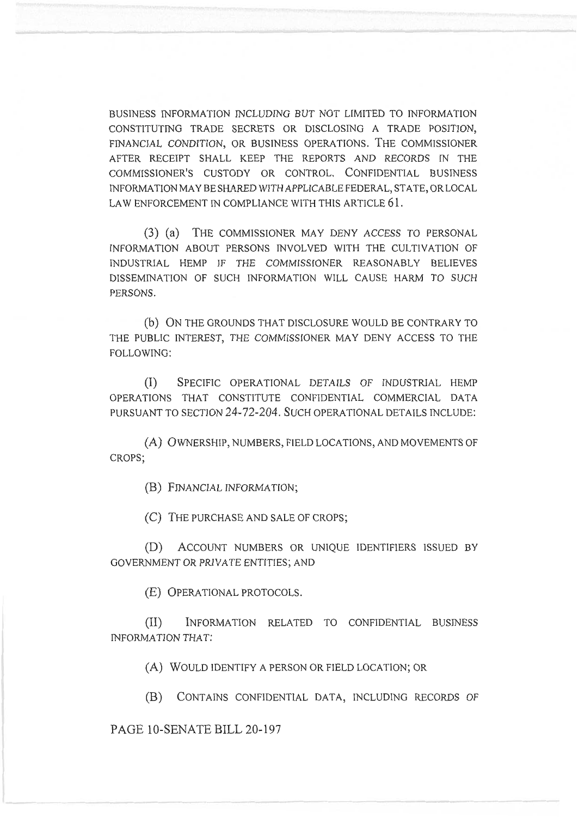BUSINESS INFORMATION INCLUDING BUT NOT LIMITED TO INFORMATION CONSTITUTING TRADE SECRETS OR DISCLOSING A TRADE POSITION, FINANCIAL CONDITION, OR BUSINESS OPERATIONS. THE COMMISSIONER AFTER RECEIPT SHALL KEEP THE REPORTS AND RECORDS IN THE COMMISSIONER'S CUSTODY OR CONTROL. CONFIDENTIAL BUSINESS INFORMATION MAY BE SHARED WITH APPLICABLE FEDERAL, STATE, OR LOCAL LAW ENFORCEMENT IN COMPLIANCE WITH THIS ARTICLE 61.

(3) (a) THE COMMISSIONER MAY DENY ACCESS TO PERSONAL INFORMATION ABOUT PERSONS INVOLVED WITH THE CULTIVATION OF INDUSTRIAL HEMP IF THE COMMISSIONER REASONABLY BELIEVES DISSEMINATION OF SUCH INFORMATION WILL CAUSE HARM TO SUCH PERSONS.

(b) ON THE GROUNDS THAT DISCLOSURE WOULD BE CONTRARY TO THE PUBLIC INTEREST, THE COMMISSIONER MAY DENY ACCESS TO THE FOLLOWING:

(I) SPECIFIC OPERATIONAL DETAILS OF INDUSTRIAL HEMP OPERATIONS THAT CONSTITUTE CONFIDENTIAL COMMERCIAL DATA PURSUANT TO SECTION 24-72-204. SUCH OPERATIONAL DETAILS INCLUDE:

(A) OWNERSHIP, NUMBERS, FIELD LOCATIONS, AND MOVEMENTS OF CROPS;

(B) FINANCIAL INFORMATION;

(C) THE PURCHASE AND SALE OF CROPS;

(D) ACCOUNT NUMBERS OR UNIQUE IDENTIFIERS ISSUED BY GOVERNMENT OR PRIVATE ENTITIES; AND

(E) OPERATIONAL PROTOCOLS.

(II) INFORMATION RELATED TO CONFIDENTIAL BUSINESS INFORMATION THAT:

(A) WOULD IDENTIFY A PERSON OR FIELD LOCATION; OR

(B) CONTAINS CONFIDENTIAL DATA, INCLUDING RECORDS OF

PAGE 10-SENATE BILL 20-197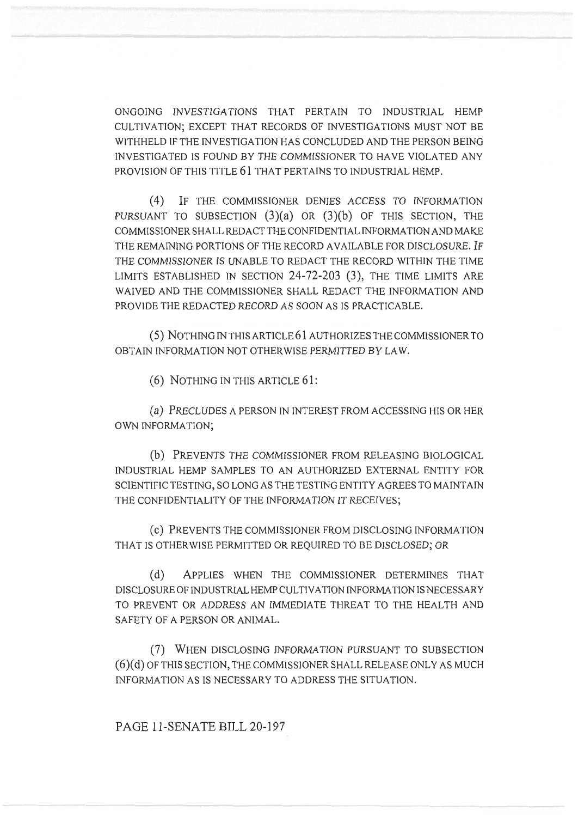ONGOING INVESTIGATIONS THAT PERTAIN TO INDUSTRIAL HEMP CULTIVATION; EXCEPT THAT RECORDS OF INVESTIGATIONS MUST NOT BE WITHHELD IF THE INVESTIGATION HAS CONCLUDED AND THE PERSON BEING INVESTIGATED IS FOUND BY THE COMMISSIONER TO HAVE VIOLATED ANY PROVISION OF THIS TITLE 61 THAT PERTAINS TO INDUSTRIAL HEMP.

(4) IF THE COMMISSIONER DENIES ACCESS TO INFORMATION PURSUANT TO SUBSECTION  $(3)(a)$  OR  $(3)(b)$  OF THIS SECTION, THE COMMISSIONER SHALL REDACT THE CONFIDENTIAL INFORMATION AND MAKE THE REMAINING PORTIONS OF THE RECORD AVAILABLE FOR DISCLOSURE. IF THE COMMISSIONER IS UNABLE TO REDACT THE RECORD WITHIN THE TIME LIMITS ESTABLISHED IN SECTION 24-72-203 (3), THE TIME LIMITS ARE WAIVED AND THE COMMISSIONER SHALL REDACT THE INFORMATION AND PROVIDE THE REDACTED RECORD AS SOON AS IS PRACTICABLE.

(5) NOTHING IN THIS ARTICLE 61 AUTHORIZES THE COMMISSIONER TO OBTAIN INFORMATION NOT OTHERWISE PERMITTED BY LAW.

(6) NOTHING IN THIS ARTICLE 61:

(a) PRECLUDES A PERSON IN INTEREST FROM ACCESSING HIS OR HER OWN INFORMATION;

(b) PREVENTS THE COMMISSIONER FROM RELEASING BIOLOGICAL INDUSTRIAL HEMP SAMPLES TO AN AUTHORIZED EXTERNAL ENTITY FOR SCIENTIFIC TESTING, SO LONG AS THE TESTING ENTITY AGREES TO MAINTAIN THE CONFIDENTIALITY OF THE INFORMATION IT RECEIVES;

(C) PREVENTS THE COMMISSIONER FROM DISCLOSING INFORMATION THAT IS OTHERWISE PERMITTED OR REQUIRED TO BE DISCLOSED; OR

(d) APPLIES WHEN THE COMMISSIONER DETERMINES THAT DISCLOSURE OF INDUSTRIAL HEMP CULTIVATION INFORMATION IS NECESSARY TO PREVENT OR ADDRESS AN IMMEDIATE THREAT TO THE HEALTH AND SAFETY OF A PERSON OR ANIMAL.

(7) WHEN DISCLOSING INFORMATION PURSUANT TO SUBSECTION (6)(d) OF THIS SECTION, THE COMMISSIONER SHALL RELEASE ONLY AS MUCH INFORMATION AS IS NECESSARY TO ADDRESS THE SITUATION.

PAGE 11-SENATE BILL 20-197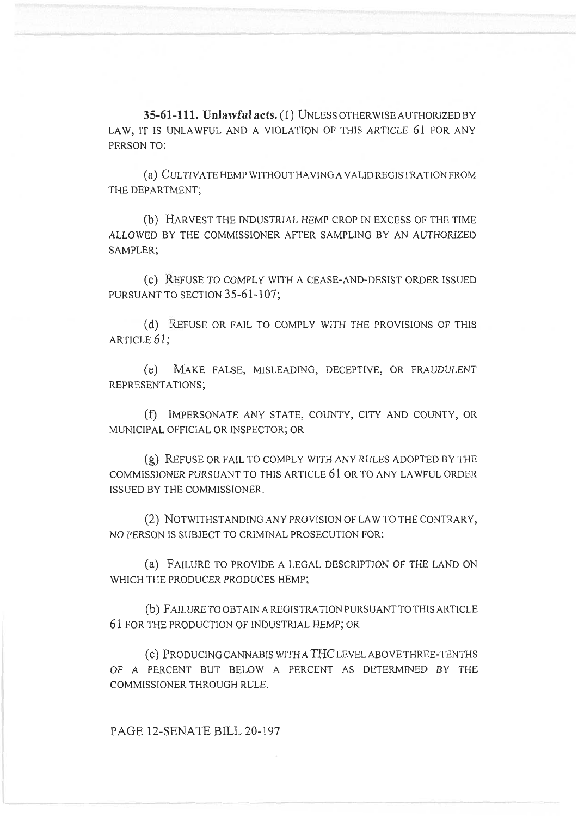**35-61-111. Unlawful acts. (1)** UNLESS OTHERWISE AUTHORIZED BY LAW, IT IS UNLAWFUL AND A VIOLATION OF THIS ARTICLE 61 FOR ANY PERSON TO:

(a) CULTIVATE HEMP WITHOUT HAVING A VALID REGISTRATION FROM THE DEPARTMENT;

(b) HARVEST THE INDUSTRIAL HEMP CROP IN EXCESS OF THE TIME ALLOWED BY THE COMMISSIONER AFTER SAMPLING BY AN AUTHORIZED SAMPLER;

(c) REFUSE TO COMPLY WITH A CEASE-AND-DESIST ORDER ISSUED PURSUANT TO SECTION 35-61-107;

(d) REFUSE OR FAIL TO COMPLY WITH THE PROVISIONS OF THIS ARTICLE 61;

(e) MAKE FALSE, MISLEADING, DECEPTIVE, OR FRAUDULENT REPRESENTATIONS;

(f) IMPERSONATE ANY STATE, COUNTY, CITY AND COUNTY, OR MUNICIPAL OFFICIAL OR INSPECTOR; OR

(g) REFUSE OR FAIL TO COMPLY WITH ANY RULES ADOPTED BY THE COMMISSIONER PURSUANT TO THIS ARTICLE 61 OR TO ANY LAWFUL ORDER ISSUED BY THE COMMISSIONER.

(2) NOTWITHSTANDING ANY PROVISION OF LAW TO THE CONTRARY, NO PERSON IS SUBJECT TO CRIMINAL PROSECUTION FOR:

(a) FAILURE TO PROVIDE A LEGAL DESCRIPTION OF THE LAND ON WHICH THE PRODUCER PRODUCES HEMP;

(b) FAILURE TO OBTAIN A REGISTRATION PURSUANT TO THIS ARTICLE 61 FOR THE PRODUCTION OF INDUSTRIAL HEMP; OR

(c) PRODUCING CANNABIS WITH A THC LEVEL ABOVE THREE-TENTHS OF A PERCENT BUT BELOW A PERCENT AS DETERMINED BY THE COMMISSIONER THROUGH RULE.

PAGE 12-SENATE BILL 20-197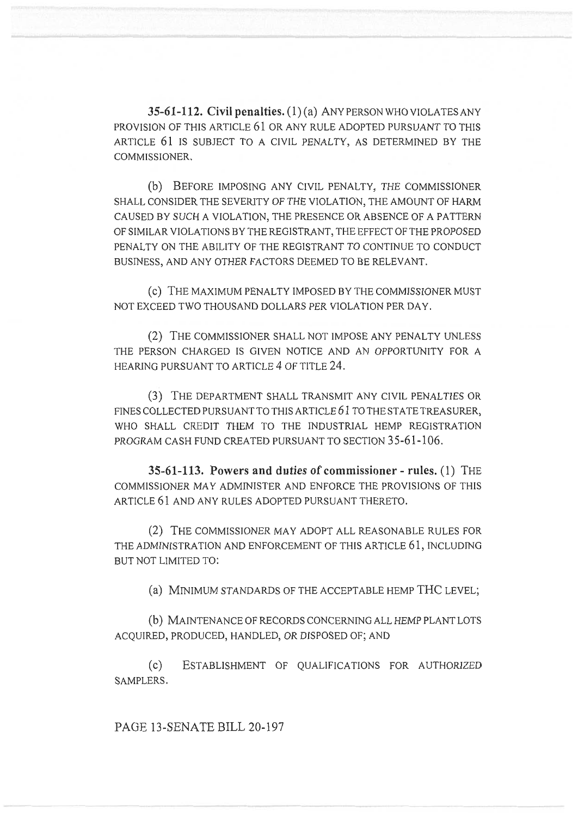**35-61-112. Civil penalties.** (1) (a) ANY PERSON WHO VIOLATES ANY PROVISION OF THIS ARTICLE 61 OR ANY RULE ADOPTED PURSUANT TO THIS ARTICLE 61 IS SUBJECT TO A CIVIL PENALTY, AS DETERMINED BY THE COMMISSIONER.

(b) BEFORE IMPOSING ANY CIVIL PENALTY, THE COMMISSIONER SHALL CONSIDER THE SEVERITY OF THE VIOLATION, THE AMOUNT OF HARM CAUSED BY SUCH A VIOLATION, THE PRESENCE OR ABSENCE OF A PATTERN OF SIMILAR VIOLATIONS BY THE REGISTRANT, THE EFFECT OF THE PROPOSED PENALTY ON THE ABILITY OF THE REGISTRANT TO CONTINUE TO CONDUCT BUSINESS, AND ANY OTHER FACTORS DEEMED TO BE RELEVANT.

(c) THE MAXIMUM PENALTY IMPOSED BY THE COMMISSIONER MUST NOT EXCEED TWO THOUSAND DOLLARS PER VIOLATION PER DAY.

(2) THE COMMISSIONER SHALL NOT IMPOSE ANY PENALTY UNLESS THE PERSON CHARGED IS GIVEN NOTICE AND AN OPPORTUNITY FOR A HEARING PURSUANT TO ARTICLE 4 OF TITLE 24.

(3) THE DEPARTMENT SHALL TRANSMIT ANY CIVIL PENALTIES OR FINES COLLECTED PURSUANT TO THIS ARTICLE 61 TO THE STATE TREASURER, WHO SHALL CREDIT THEM TO THE INDUSTRIAL HEMP REGISTRATION PROGRAM CASH FUND CREATED PURSUANT TO SECTION 35-61-106.

**35-61-113. Powers and duties of commissioner - rules.** (1) THE COMMISSIONER MAY ADMINISTER AND ENFORCE THE PROVISIONS OF THIS ARTICLE 61 AND ANY RULES ADOPTED PURSUANT THERETO.

(2) THE COMMISSIONER MAY ADOPT ALL REASONABLE RULES FOR THE ADMINISTRATION AND ENFORCEMENT OF THIS ARTICLE 61, INCLUDING BUT NOT LIMITED TO:

(a) MINIMUM STANDARDS OF THE ACCEPTABLE HEMP THC LEVEL;

(b) MAINTENANCE OF RECORDS CONCERNING ALL HEMP PLANT LOTS ACQUIRED, PRODUCED, HANDLED, OR DISPOSED OF; AND

(c) ESTABLISHMENT OF QUALIFICATIONS FOR AUTHORIZED SAMPLERS.

PAGE 13-SENATE BILL 20-197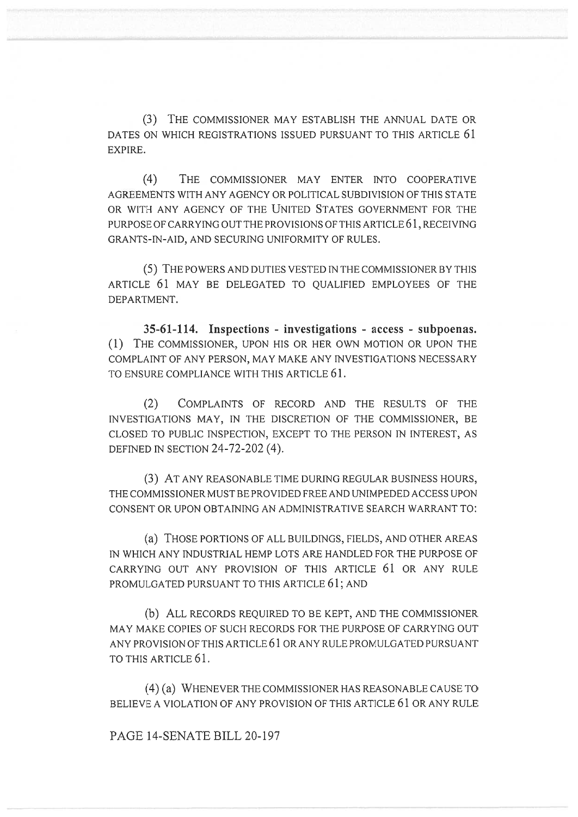(3) THE COMMISSIONER MAY ESTABLISH THE ANNUAL DATE OR DATES ON WHICH REGISTRATIONS ISSUED PURSUANT TO THIS ARTICLE 61 EXPIRE.

(4) THE COMMISSIONER MAY ENTER INTO COOPERATIVE AGREEMENTS WITH ANY AGENCY OR POLITICAL SUBDIVISION OF THIS STATE OR WITH ANY AGENCY OF THE UNITED STATES GOVERNMENT FOR THE PURPOSE OF CARRYING OUT THE PROVISIONS OF THIS ARTICLE 61, RECEIVING GRANTS-IN-AID, AND SECURING UNIFORMITY OF RULES.

(5) THE POWERS AND DUTIES VESTED IN THE COMMISSIONER BY THIS ARTICLE 61 MAY BE DELEGATED TO QUALIFIED EMPLOYEES OF THE DEPARTMENT.

**35-61-114. Inspections - investigations - access - subpoenas.**  (1) THE COMMISSIONER, UPON HIS OR HER OWN MOTION OR UPON THE COMPLAINT OF ANY PERSON, MAY MAKE ANY INVESTIGATIONS NECESSARY TO ENSURE COMPLIANCE WITH THIS ARTICLE 61.

(2) COMPLAINTS OF RECORD AND THE RESULTS OF THE INVESTIGATIONS MAY, IN THE DISCRETION OF THE COMMISSIONER, BE CLOSED TO PUBLIC INSPECTION, EXCEPT TO THE PERSON IN INTEREST, AS DEFINED IN SECTION 24-72-202 (4).

(3) AT ANY REASONABLE TIME DURING REGULAR BUSINESS HOURS, THE COMMISSIONER MUST BE PROVIDED FREE AND UNIMPEDED ACCESS UPON CONSENT OR UPON OBTAINING AN ADMINISTRATIVE SEARCH WARRANT TO:

(a) THOSE PORTIONS OF ALL BUILDINGS, FIELDS, AND OTHER AREAS IN WHICH ANY INDUSTRIAL HEMP LOTS ARE HANDLED FOR THE PURPOSE OF CARRYING OUT ANY PROVISION OF THIS ARTICLE 61 OR ANY RULE PROMULGATED PURSUANT TO THIS ARTICLE 61; AND

(b) ALL RECORDS REQUIRED TO BE KEPT, AND THE COMMISSIONER MAY MAKE COPIES OF SUCH RECORDS FOR THE PURPOSE OF CARRYING OUT ANY PROVISION OF THIS ARTICLE 61 OR ANY RULE PROMULGATED PURSUANT TO THIS ARTICLE 61.

(4) (a) WHENEVER THE COMMISSIONER HAS REASONABLE CAUSE TO BELIEVE A VIOLATION OF ANY PROVISION OF THIS ARTICLE 61 OR ANY RULE

PAGE 14-SENATE BILL 20-197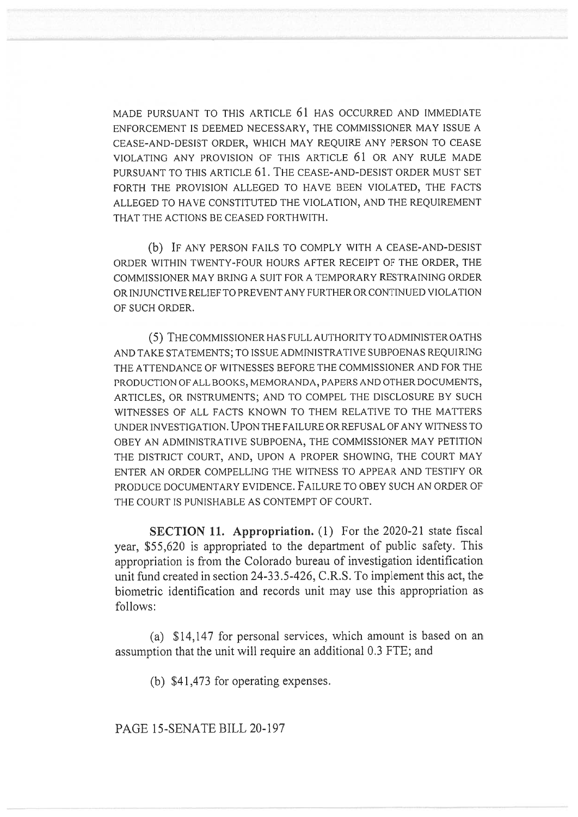MADE PURSUANT TO THIS ARTICLE 61 HAS OCCURRED AND IMMEDIATE ENFORCEMENT IS DEEMED NECESSARY, THE COMMISSIONER MAY ISSUE A CEASE-AND-DESIST ORDER, WHICH MAY REQUIRE ANY PERSON TO CEASE VIOLATING ANY PROVISION OF THIS ARTICLE 61 OR ANY RULE MADE PURSUANT TO THIS ARTICLE 61. THE CEASE-AND-DESIST ORDER MUST SET FORTH THE PROVISION ALLEGED TO HAVE BEEN VIOLATED, THE FACTS ALLEGED TO HAVE CONSTITUTED THE VIOLATION, AND THE REQUIREMENT THAT THE ACTIONS BE CEASED FORTHWITH.

(b) IF ANY PERSON FAILS TO COMPLY WITH A CEASE-AND-DESIST ORDER WITHIN TWENTY-FOUR HOURS AFTER RECEIPT OF THE ORDER, THE COMMISSIONER MAY BRING A SUIT FOR A TEMPORARY RESTRAINING ORDER OR INJUNCTIVE RELIEF TO PREVENT ANY FURTHER OR CONTINUED VIOLATION OF SUCH ORDER.

(5) THE COMMISSIONER HAS FULL AUTHORITY TO ADMINISTER OATHS AND TAKE STATEMENTS; TO ISSUE ADMINISTRATIVE SUBPOENAS REQUIRING THE ATTENDANCE OF WITNESSES BEFORE THE COMMISSIONER AND FOR THE PRODUCTION OF ALL BOOKS, MEMORANDA, PAPERS AND OTHER DOCUMENTS, ARTICLES, OR INSTRUMENTS; AND TO COMPEL THE DISCLOSURE BY SUCH WITNESSES OF ALL FACTS KNOWN TO THEM RELATIVE TO THE MATTERS UNDER INVESTIGATION. UPON THE FAILURE OR REFUSAL OF ANY WITNESS TO OBEY AN ADMINISTRATIVE SUBPOENA, THE COMMISSIONER MAY PETITION THE DISTRICT COURT, AND, UPON A PROPER SHOWING, THE COURT MAY ENTER AN ORDER COMPELLING THE WITNESS TO APPEAR AND TESTIFY OR PRODUCE DOCUMENTARY EVIDENCE. FAILURE TO OBEY SUCH AN ORDER OF THE COURT IS PUNISHABLE AS CONTEMPT OF COURT.

**SECTION 11. Appropriation.** (1) For the 2020-21 state fiscal year, \$55,620 is appropriated to the department of public safety. This appropriation is from the Colorado bureau of investigation identification unit fund created in section 24-33.5-426, C.R.S. To implement this act, the biometric identification and records unit may use this appropriation as follows:

(a) \$14,147 for personal services, which amount is based on an assumption that the unit will require an additional 0.3 FTE; and

(b) \$41,473 for operating expenses.

PAGE 15-SENATE BILL 20-197